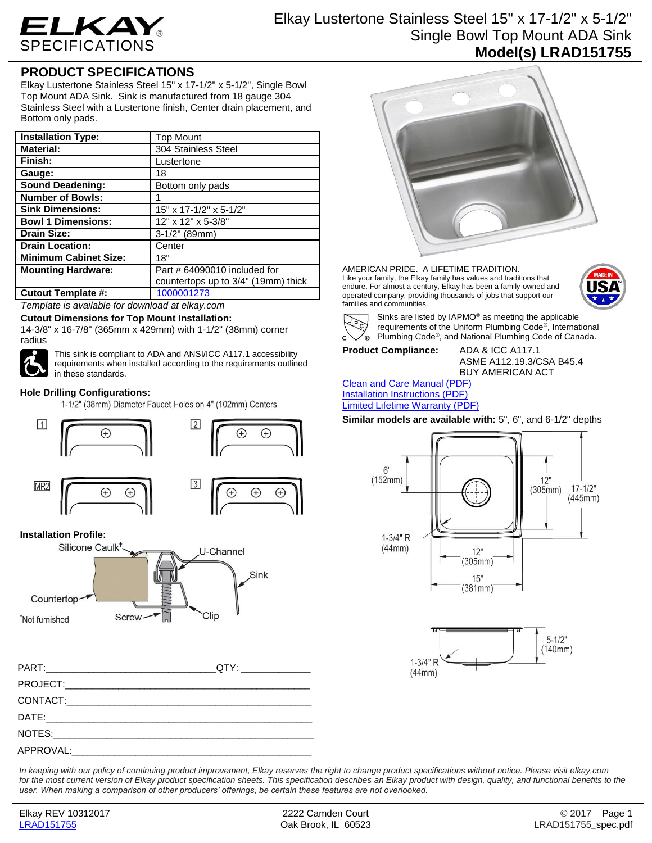

# Elkay Lustertone Stainless Steel 15" x 17-1/2" x 5-1/2" Single Bowl Top Mount ADA Sink **Model(s) LRAD151755**

## **PRODUCT SPECIFICATIONS**

Elkay Lustertone Stainless Steel 15" x 17-1/2" x 5-1/2", Single Bowl Top Mount ADA Sink. Sink is manufactured from 18 gauge 304 Stainless Steel with a Lustertone finish, Center drain placement, and Bottom only pads.

| <b>Installation Type:</b>    | <b>Top Mount</b>                    |
|------------------------------|-------------------------------------|
| <b>Material:</b>             | 304 Stainless Steel                 |
| Finish:                      | Lustertone                          |
| Gauge:                       | 18                                  |
| <b>Sound Deadening:</b>      | Bottom only pads                    |
| <b>Number of Bowls:</b>      |                                     |
| <b>Sink Dimensions:</b>      | 15" x 17-1/2" x 5-1/2"              |
| <b>Bowl 1 Dimensions:</b>    | 12" x 12" x 5-3/8"                  |
| <b>Drain Size:</b>           | $\overline{3-1}/2$ " (89mm)         |
| <b>Drain Location:</b>       | Center                              |
| <b>Minimum Cabinet Size:</b> | 18"                                 |
| <b>Mounting Hardware:</b>    | Part # 64090010 included for        |
|                              | countertops up to 3/4" (19mm) thick |
| <b>Cutout Template #:</b>    | 1000001273                          |

*Template is available for download at elkay.com*

#### **Cutout Dimensions for Top Mount Installation:**

14-3/8" x 16-7/8" (365mm x 429mm) with 1-1/2" (38mm) corner radius



This sink is compliant to ADA and ANSI/ICC A117.1 accessibility requirements when installed according to the requirements outlined in these standards.

### **Hole Drilling Configurations:**

1-1/2" (38mm) Diameter Faucet Holes on 4" (102mm) Centers



## **Installation Profile:**



| PART: QTY: QTY: |  |
|-----------------|--|
|                 |  |
|                 |  |
|                 |  |
|                 |  |
|                 |  |



AMERICAN PRIDE. A LIFETIME TRADITION. Like your family, the Elkay family has values and traditions that endure. For almost a century, Elkay has been a family-owned and operated company, providing thousands of jobs that support our families and communities.





Sinks are listed by IAPMO® as meeting the applicable requirements of the Uniform Plumbing Code® , International Plumbing Code® , and National Plumbing Code of Canada.

# **Product Compliance:** ADA & ICC A117.1

ASME A112.19.3/CSA B45.4 BUY AMERICAN ACT

#### [Clean and Care Manual \(PDF\)](http://www.elkay.com/wcsstore/lkdocs/care-cleaning-install-warranty-sheets/residential%20and%20commercial%20care%20%20cleaning.pdf) [Installation Instructions \(PDF\)](http://www.elkay.com/wcsstore/lkdocs/care-cleaning-install-warranty-sheets/74180147.pdf) [Limited Lifetime Warranty](http://www.elkay.com/wcsstore/lkdocs/care-cleaning-install-warranty-sheets/residential%20sinks%20warranty.pdf) (PDF)

**Similar models are available with:** 5", 6", and 6-1/2" depths





*In keeping with our policy of continuing product improvement, Elkay reserves the right to change product specifications without notice. Please visit elkay.com*  for the most current version of Elkay product specification sheets. This specification describes an Elkay product with design, quality, and functional benefits to the *user. When making a comparison of other producers' offerings, be certain these features are not overlooked.*